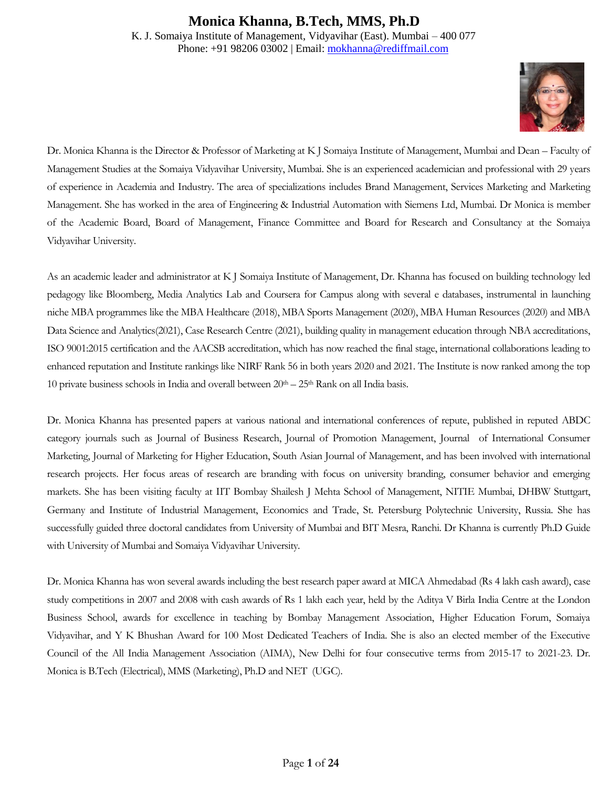### **Monica Khanna, B.Tech, MMS, Ph.D** K. J. Somaiya Institute of Management, Vidyavihar (East). Mumbai – 400 077 Phone: +91 98206 03002 | Email: [mokhanna@rediffmail.com](mailto:mokhanna@rediffmail.com)



Dr. Monica Khanna is the Director & Professor of Marketing at K J Somaiya Institute of Management, Mumbai and Dean – Faculty of Management Studies at the Somaiya Vidyavihar University, Mumbai. She is an experienced academician and professional with 29 years of experience in Academia and Industry. The area of specializations includes Brand Management, Services Marketing and Marketing Management. She has worked in the area of Engineering & Industrial Automation with Siemens Ltd, Mumbai. Dr Monica is member of the Academic Board, Board of Management, Finance Committee and Board for Research and Consultancy at the Somaiya Vidyavihar University.

As an academic leader and administrator at K J Somaiya Institute of Management, Dr. Khanna has focused on building technology led pedagogy like Bloomberg, Media Analytics Lab and Coursera for Campus along with several e databases, instrumental in launching niche MBA programmes like the MBA Healthcare (2018), MBA Sports Management (2020), MBA Human Resources (2020) and MBA Data Science and Analytics(2021), Case Research Centre (2021), building quality in management education through NBA accreditations, ISO 9001:2015 certification and the AACSB accreditation, which has now reached the final stage, international collaborations leading to enhanced reputation and Institute rankings like NIRF Rank 56 in both years 2020 and 2021. The Institute is now ranked among the top 10 private business schools in India and overall between  $20<sup>th</sup> - 25<sup>th</sup>$  Rank on all India basis.

Dr. Monica Khanna has presented papers at various national and international conferences of repute, published in reputed ABDC category journals such as Journal of Business Research, Journal of Promotion Management, Journal of International Consumer Marketing, Journal of Marketing for Higher Education, South Asian Journal of Management, and has been involved with international research projects. Her focus areas of research are branding with focus on university branding, consumer behavior and emerging markets. She has been visiting faculty at IIT Bombay Shailesh J Mehta School of Management, NITIE Mumbai, DHBW Stuttgart, Germany and Institute of Industrial Management, Economics and Trade, St. Petersburg Polytechnic University, Russia. She has successfully guided three doctoral candidates from University of Mumbai and BIT Mesra, Ranchi. Dr Khanna is currently Ph.D Guide with University of Mumbai and Somaiya Vidyavihar University.

Dr. Monica Khanna has won several awards including the best research paper award at MICA Ahmedabad (Rs 4 lakh cash award), case study competitions in 2007 and 2008 with cash awards of Rs 1 lakh each year, held by the Aditya V Birla India Centre at the London Business School, awards for excellence in teaching by Bombay Management Association, Higher Education Forum, Somaiya Vidyavihar, and Y K Bhushan Award for 100 Most Dedicated Teachers of India. She is also an elected member of the Executive Council of the All India Management Association (AIMA), New Delhi for four consecutive terms from 2015-17 to 2021-23. Dr. Monica is B.Tech (Electrical), MMS (Marketing), Ph.D and NET (UGC).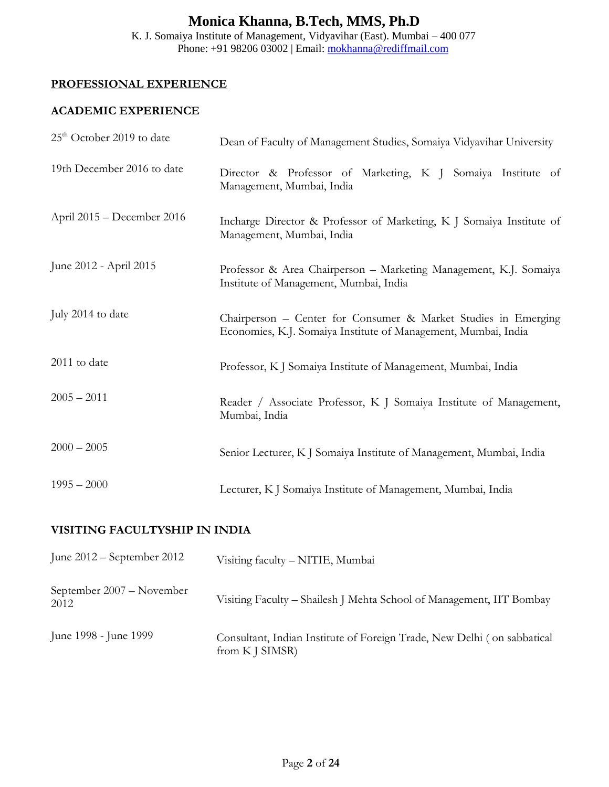K. J. Somaiya Institute of Management, Vidyavihar (East). Mumbai – 400 077 Phone: +91 98206 03002 | Email: [mokhanna@rediffmail.com](mailto:mokhanna@rediffmail.com)

### **PROFESSIONAL EXPERIENCE**

### **ACADEMIC EXPERIENCE**

| $25th$ October 2019 to date | Dean of Faculty of Management Studies, Somaiya Vidyavihar University                                                             |
|-----------------------------|----------------------------------------------------------------------------------------------------------------------------------|
| 19th December 2016 to date  | Director & Professor of Marketing, K J Somaiya Institute of<br>Management, Mumbai, India                                         |
| April 2015 - December 2016  | Incharge Director & Professor of Marketing, K J Somaiya Institute of<br>Management, Mumbai, India                                |
| June 2012 - April 2015      | Professor & Area Chairperson - Marketing Management, K.J. Somaiya<br>Institute of Management, Mumbai, India                      |
| July 2014 to date           | Chairperson - Center for Consumer & Market Studies in Emerging<br>Economies, K.J. Somaiya Institute of Management, Mumbai, India |
| 2011 to date                | Professor, K J Somaiya Institute of Management, Mumbai, India                                                                    |
| $2005 - 2011$               | Reader / Associate Professor, K J Somaiya Institute of Management,<br>Mumbai, India                                              |
| $2000 - 2005$               | Senior Lecturer, K J Somaiya Institute of Management, Mumbai, India                                                              |
| $1995 - 2000$               | Lecturer, K J Somaiya Institute of Management, Mumbai, India                                                                     |

### **VISITING FACULTYSHIP IN INDIA**

| June $2012$ – September 2012      | Visiting faculty - NITIE, Mumbai                                                           |
|-----------------------------------|--------------------------------------------------------------------------------------------|
| September 2007 – November<br>2012 | Visiting Faculty – Shailesh J Mehta School of Management, IIT Bombay                       |
| June 1998 - June 1999             | Consultant, Indian Institute of Foreign Trade, New Delhi (on sabbatical<br>from K J SIMSR) |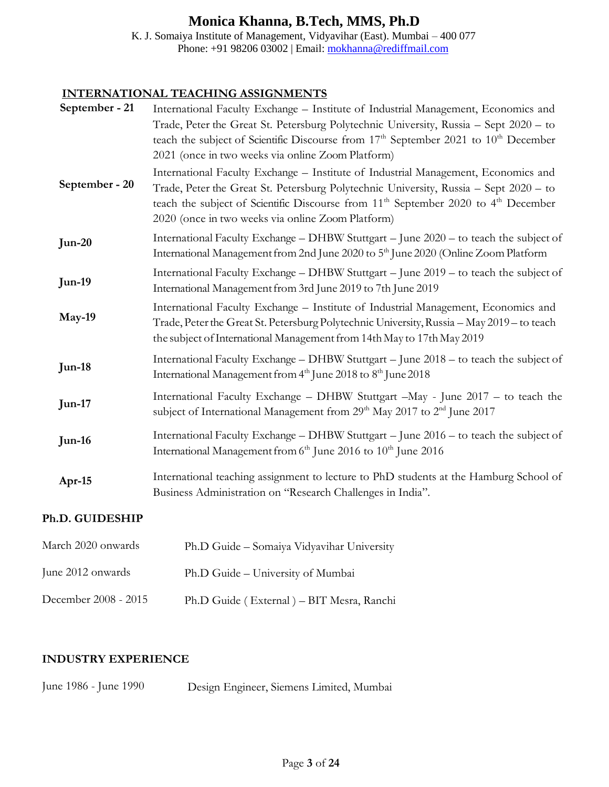K. J. Somaiya Institute of Management, Vidyavihar (East). Mumbai – 400 077 Phone: +91 98206 03002 | Email: [mokhanna@rediffmail.com](mailto:mokhanna@rediffmail.com)

#### **INTERNATIONAL TEACHING ASSIGNMENTS**

| September - 21 | International Faculty Exchange - Institute of Industrial Management, Economics and<br>Trade, Peter the Great St. Petersburg Polytechnic University, Russia - Sept 2020 - to<br>teach the subject of Scientific Discourse from 17 <sup>th</sup> September 2021 to 10 <sup>th</sup> December<br>2021 (once in two weeks via online Zoom Platform) |
|----------------|-------------------------------------------------------------------------------------------------------------------------------------------------------------------------------------------------------------------------------------------------------------------------------------------------------------------------------------------------|
| September - 20 | International Faculty Exchange - Institute of Industrial Management, Economics and<br>Trade, Peter the Great St. Petersburg Polytechnic University, Russia - Sept 2020 - to<br>teach the subject of Scientific Discourse from 11 <sup>th</sup> September 2020 to 4 <sup>th</sup> December<br>2020 (once in two weeks via online Zoom Platform)  |
| $Jun-20$       | International Faculty Exchange - DHBW Stuttgart - June 2020 - to teach the subject of<br>International Management from 2nd June 2020 to 5 <sup>th</sup> June 2020 (Online Zoom Platform                                                                                                                                                         |
| <b>Jun-19</b>  | International Faculty Exchange - DHBW Stuttgart - June 2019 - to teach the subject of<br>International Management from 3rd June 2019 to 7th June 2019                                                                                                                                                                                           |
| May-19         | International Faculty Exchange - Institute of Industrial Management, Economics and<br>Trade, Peter the Great St. Petersburg Polytechnic University, Russia - May 2019 - to teach<br>the subject of International Management from 14th May to 17th May 2019                                                                                      |
| Jun-18         | International Faculty Exchange - DHBW Stuttgart - June 2018 - to teach the subject of<br>International Management from 4th June 2018 to 8th June 2018                                                                                                                                                                                           |
| Jun-17         | International Faculty Exchange - DHBW Stuttgart -May - June 2017 - to teach the<br>subject of International Management from 29 <sup>th</sup> May 2017 to 2 <sup>nd</sup> June 2017                                                                                                                                                              |
| Jun-16         | International Faculty Exchange - DHBW Stuttgart - June 2016 - to teach the subject of<br>International Management from 6 <sup>th</sup> June 2016 to 10 <sup>th</sup> June 2016                                                                                                                                                                  |
| Apr-15         | International teaching assignment to lecture to PhD students at the Hamburg School of<br>Business Administration on "Research Challenges in India".                                                                                                                                                                                             |

### **Ph.D. GUIDESHIP**

| March 2020 onwards   | Ph.D Guide - Somaiya Vidyavihar University |
|----------------------|--------------------------------------------|
| June 2012 onwards    | Ph.D Guide - University of Mumbai          |
| December 2008 - 2015 | Ph.D Guide (External) – BIT Mesra, Ranchi  |

### **INDUSTRY EXPERIENCE**

June 1986 - June 1990 Design Engineer, Siemens Limited, Mumbai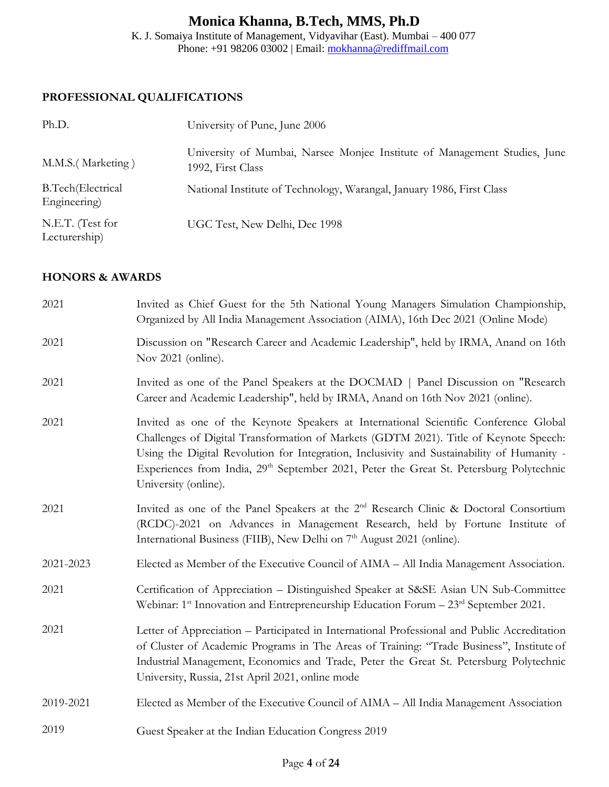K. J. Somaiya Institute of Management, Vidyavihar (East). Mumbai – 400 077 Phone: +91 98206 03002 | Email: [mokhanna@rediffmail.com](mailto:mokhanna@rediffmail.com)

### **PROFESSIONAL QUALIFICATIONS**

| Ph.D.                                     | University of Pune, June 2006                                                                  |  |
|-------------------------------------------|------------------------------------------------------------------------------------------------|--|
| M.M.S. (Marketing)                        | University of Mumbai, Narsee Monjee Institute of Management Studies, June<br>1992, First Class |  |
| <b>B.Tech</b> (Electrical<br>Engineering) | National Institute of Technology, Warangal, January 1986, First Class                          |  |
| N.E.T. (Test for<br>Lecturership)         | UGC Test, New Delhi, Dec 1998                                                                  |  |

#### **HONORS & AWARDS**

| 2021      | Invited as Chief Guest for the 5th National Young Managers Simulation Championship,<br>Organized by All India Management Association (AIMA), 16th Dec 2021 (Online Mode)                                                                                                                                                                                                                                   |  |
|-----------|------------------------------------------------------------------------------------------------------------------------------------------------------------------------------------------------------------------------------------------------------------------------------------------------------------------------------------------------------------------------------------------------------------|--|
| 2021      | Discussion on "Research Career and Academic Leadership", held by IRMA, Anand on 16th<br>Nov 2021 (online).                                                                                                                                                                                                                                                                                                 |  |
| 2021      | Invited as one of the Panel Speakers at the DOCMAD   Panel Discussion on "Research"<br>Career and Academic Leadership", held by IRMA, Anand on 16th Nov 2021 (online).                                                                                                                                                                                                                                     |  |
| 2021      | Invited as one of the Keynote Speakers at International Scientific Conference Global<br>Challenges of Digital Transformation of Markets (GDTM 2021). Title of Keynote Speech:<br>Using the Digital Revolution for Integration, Inclusivity and Sustainability of Humanity -<br>Experiences from India, 29 <sup>th</sup> September 2021, Peter the Great St. Petersburg Polytechnic<br>University (online). |  |
| 2021      | Invited as one of the Panel Speakers at the 2 <sup>nd</sup> Research Clinic & Doctoral Consortium<br>(RCDC)-2021 on Advances in Management Research, held by Fortune Institute of<br>International Business (FIIB), New Delhi on 7 <sup>th</sup> August 2021 (online).                                                                                                                                     |  |
| 2021-2023 | Elected as Member of the Executive Council of AIMA - All India Management Association.                                                                                                                                                                                                                                                                                                                     |  |
| 2021      | Certification of Appreciation - Distinguished Speaker at S&SE Asian UN Sub-Committee<br>Webinar: 1 <sup>st</sup> Innovation and Entrepreneurship Education Forum – 23 <sup>rd</sup> September 2021.                                                                                                                                                                                                        |  |
| 2021      | Letter of Appreciation - Participated in International Professional and Public Accreditation<br>of Cluster of Academic Programs in The Areas of Training: "Trade Business", Institute of<br>Industrial Management, Economics and Trade, Peter the Great St. Petersburg Polytechnic<br>University, Russia, 21st April 2021, online mode                                                                     |  |
| 2019-2021 | Elected as Member of the Executive Council of AIMA - All India Management Association                                                                                                                                                                                                                                                                                                                      |  |
| 2019      | Guest Speaker at the Indian Education Congress 2019                                                                                                                                                                                                                                                                                                                                                        |  |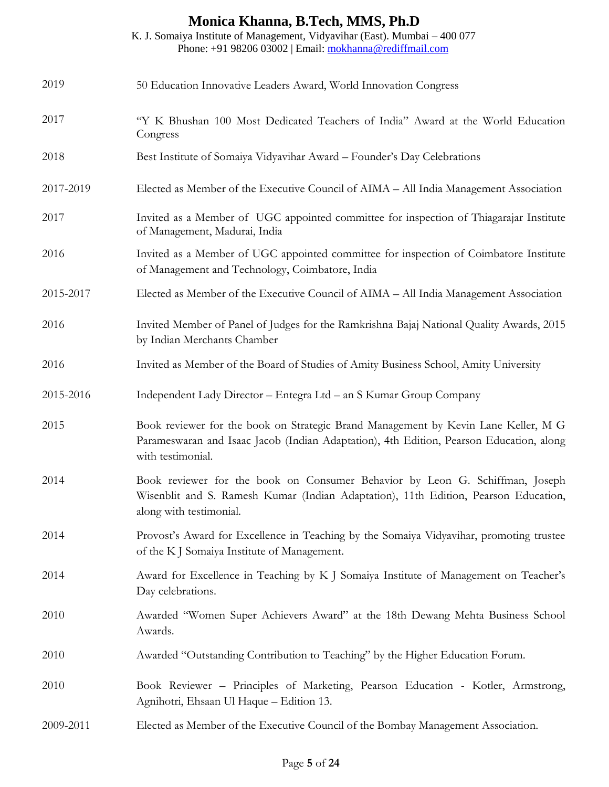K. J. Somaiya Institute of Management, Vidyavihar (East). Mumbai – 400 077 Phone: +91 98206 03002 | Email: [mokhanna@rediffmail.com](mailto:mokhanna@rediffmail.com)

| 2019      | 50 Education Innovative Leaders Award, World Innovation Congress                                                                                                                                   |
|-----------|----------------------------------------------------------------------------------------------------------------------------------------------------------------------------------------------------|
| 2017      | "Y K Bhushan 100 Most Dedicated Teachers of India" Award at the World Education<br>Congress                                                                                                        |
| 2018      | Best Institute of Somaiya Vidyavihar Award - Founder's Day Celebrations                                                                                                                            |
| 2017-2019 | Elected as Member of the Executive Council of AIMA - All India Management Association                                                                                                              |
| 2017      | Invited as a Member of UGC appointed committee for inspection of Thiagarajar Institute<br>of Management, Madurai, India                                                                            |
| 2016      | Invited as a Member of UGC appointed committee for inspection of Coimbatore Institute<br>of Management and Technology, Coimbatore, India                                                           |
| 2015-2017 | Elected as Member of the Executive Council of AIMA – All India Management Association                                                                                                              |
| 2016      | Invited Member of Panel of Judges for the Ramkrishna Bajaj National Quality Awards, 2015<br>by Indian Merchants Chamber                                                                            |
| 2016      | Invited as Member of the Board of Studies of Amity Business School, Amity University                                                                                                               |
| 2015-2016 | Independent Lady Director - Entegra Ltd - an S Kumar Group Company                                                                                                                                 |
| 2015      | Book reviewer for the book on Strategic Brand Management by Kevin Lane Keller, M G<br>Parameswaran and Isaac Jacob (Indian Adaptation), 4th Edition, Pearson Education, along<br>with testimonial. |
| 2014      | Book reviewer for the book on Consumer Behavior by Leon G. Schiffman, Joseph<br>Wisenblit and S. Ramesh Kumar (Indian Adaptation), 11th Edition, Pearson Education,<br>along with testimonial.     |
| 2014      | Provost's Award for Excellence in Teaching by the Somaiya Vidyavihar, promoting trustee<br>of the K J Somaiya Institute of Management.                                                             |
| 2014      | Award for Excellence in Teaching by K J Somaiya Institute of Management on Teacher's<br>Day celebrations.                                                                                          |
| 2010      | Awarded "Women Super Achievers Award" at the 18th Dewang Mehta Business School<br>Awards.                                                                                                          |
| 2010      | Awarded "Outstanding Contribution to Teaching" by the Higher Education Forum.                                                                                                                      |
| 2010      | Book Reviewer - Principles of Marketing, Pearson Education - Kotler, Armstrong,<br>Agnihotri, Ehsaan Ul Haque - Edition 13.                                                                        |
| 2009-2011 | Elected as Member of the Executive Council of the Bombay Management Association.                                                                                                                   |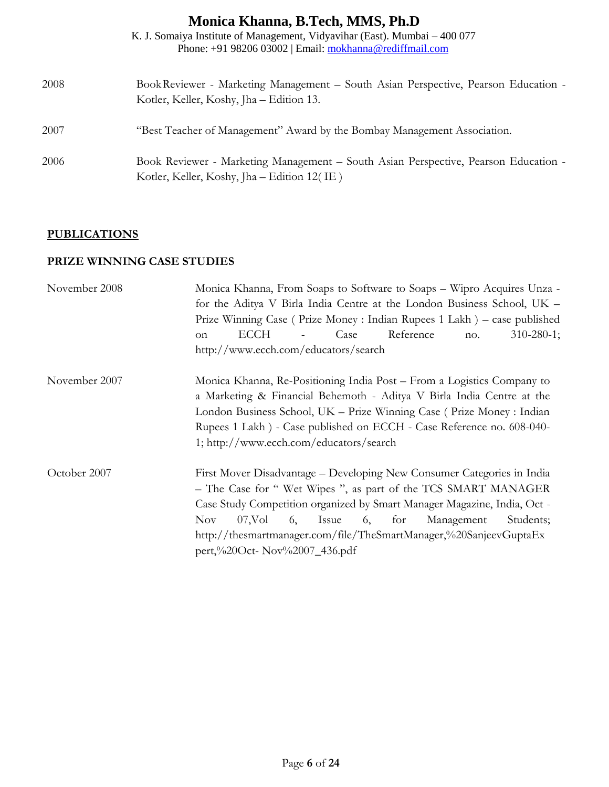|      | K. J. Somaiya Institute of Management, Vidyavihar (East). Mumbai – 400 077<br>Phone: +91 98206 03002   Email: mokhanna@rediffmail.com |
|------|---------------------------------------------------------------------------------------------------------------------------------------|
| 2008 | Book Reviewer - Marketing Management – South Asian Perspective, Pearson Education -<br>Kotler, Keller, Koshy, Jha - Edition 13.       |
| 2007 | "Best Teacher of Management" Award by the Bombay Management Association.                                                              |
| 2006 | Book Reviewer - Marketing Management - South Asian Perspective, Pearson Education -<br>Kotler, Keller, Koshy, Jha – Edition 12(IE)    |

### **PUBLICATIONS**

### **PRIZE WINNING CASE STUDIES**

| November 2008 | Monica Khanna, From Soaps to Software to Soaps - Wipro Acquires Unza -   |  |  |  |
|---------------|--------------------------------------------------------------------------|--|--|--|
|               | for the Aditya V Birla India Centre at the London Business School, UK -  |  |  |  |
|               | Prize Winning Case (Prize Money: Indian Rupees 1 Lakh) – case published  |  |  |  |
|               | Reference<br>Case<br>$310 - 280 - 1$ ;<br>ECCH<br>no.<br>on              |  |  |  |
|               | http://www.ecch.com/educators/search                                     |  |  |  |
| November 2007 | Monica Khanna, Re-Positioning India Post – From a Logistics Company to   |  |  |  |
|               | a Marketing & Financial Behemoth - Aditya V Birla India Centre at the    |  |  |  |
|               | London Business School, UK – Prize Winning Case (Prize Money: Indian     |  |  |  |
|               | Rupees 1 Lakh) - Case published on ECCH - Case Reference no. 608-040-    |  |  |  |
|               | 1; http://www.ecch.com/educators/search                                  |  |  |  |
| October 2007  | First Mover Disadvantage – Developing New Consumer Categories in India   |  |  |  |
|               | - The Case for "Wet Wipes", as part of the TCS SMART MANAGER             |  |  |  |
|               | Case Study Competition organized by Smart Manager Magazine, India, Oct - |  |  |  |
|               | Nov.<br>$07$ , Vol<br>$6,$ Issue $6,$ for<br>Students;<br>Management     |  |  |  |
|               | http://thesmartmanager.com/file/TheSmartManager,%20SanjeevGuptaEx        |  |  |  |
|               | pert,%20Oct- Nov%2007_436.pdf                                            |  |  |  |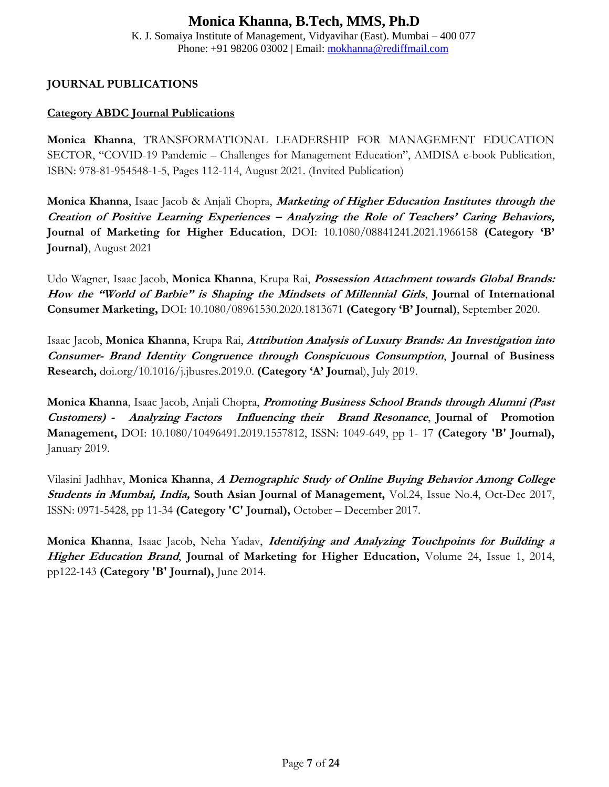#### **Monica Khanna, B.Tech, MMS, Ph.D** K. J. Somaiya Institute of Management, Vidyavihar (East). Mumbai – 400 077 Phone: +91 98206 03002 | Email: [mokhanna@rediffmail.com](mailto:mokhanna@rediffmail.com)

### **JOURNAL PUBLICATIONS**

#### **Category ABDC Journal Publications**

**Monica Khanna**, TRANSFORMATIONAL LEADERSHIP FOR MANAGEMENT EDUCATION SECTOR, "COVID-19 Pandemic – Challenges for Management Education", AMDISA e-book Publication, ISBN: 978-81-954548-1-5, Pages 112-114, August 2021. (Invited Publication)

**Monica Khanna**, Isaac Jacob & Anjali Chopra, **Marketing of Higher Education Institutes through the Creation of Positive Learning Experiences – Analyzing the Role of Teachers' Caring Behaviors, Journal of Marketing for Higher Education**, DOI: 10.1080/08841241.2021.1966158 **(Category 'B' Journal)**, August 2021

Udo Wagner, Isaac Jacob, **Monica Khanna**, Krupa Rai, **Possession Attachment towards Global Brands: How the "World of Barbie" is Shaping the Mindsets of Millennial Girls**, **Journal of International Consumer Marketing,** DOI: 10.1080/08961530.2020.1813671 **(Category 'B' Journal)**, September 2020.

Isaac Jacob, **Monica Khanna**, Krupa Rai, **Attribution Analysis of Luxury Brands: An Investigation into Consumer- Brand Identity Congruence through Conspicuous Consumption**, **Journal of Business Research,** doi.org/10.1016/j.jbusres.2019.0. **(Category 'A' Journa**l), July 2019.

**Monica Khanna**, Isaac Jacob, Anjali Chopra, **Promoting Business School Brands through Alumni (Past Customers) - Analyzing Factors Influencing their Brand Resonance**, **Journal of Promotion Management,** DOI: 10.1080/10496491.2019.1557812, ISSN: 1049-649, pp 1- 17 **(Category 'B' Journal),** January 2019.

Vilasini Jadhhav, **Monica Khanna**, **A Demographic Study of Online Buying Behavior Among College Students in Mumbai, India, South Asian Journal of Management,** Vol.24, Issue No.4, Oct-Dec 2017, ISSN: 0971-5428, pp 11-34 **(Category 'C' Journal),** October – December 2017.

**Monica Khanna**, Isaac Jacob, Neha Yadav, **Identifying and Analyzing Touchpoints for Building a Higher Education Brand**, **Journal of Marketing for Higher Education,** Volume 24, Issue 1, 2014, pp122-143 **(Category 'B' Journal),** June 2014.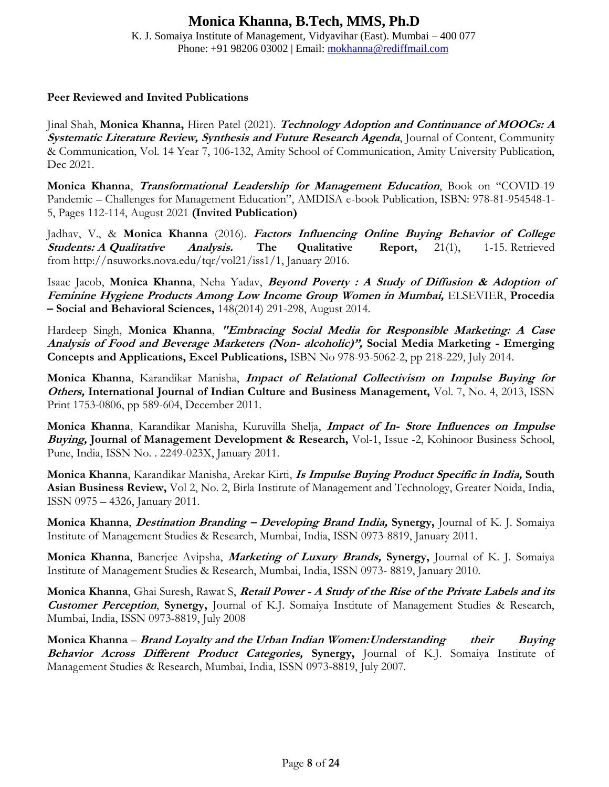K. J. Somaiya Institute of Management, Vidyavihar (East). Mumbai – 400 077 Phone: +91 98206 03002 | Email: [mokhanna@rediffmail.com](mailto:mokhanna@rediffmail.com)

#### **Peer Reviewed and Invited Publications**

Jinal Shah, **Monica Khanna,** Hiren Patel (2021). **Technology Adoption and Continuance of MOOCs: <sup>A</sup> Systematic Literature Review, Synthesis and Future Research Agenda**, Journal of Content, Community & Communication, Vol. 14 Year 7, 106-132, Amity School of Communication, Amity University Publication, Dec 2021.

**Monica Khanna**, **Transformational Leadership for Management Education**, Book on "COVID-19 Pandemic – Challenges for Management Education", AMDISA e-book Publication, ISBN: 978-81-954548-1- 5, Pages 112-114, August 2021 **(Invited Publication)**

Jadhav, V., & **Monica Khanna** (2016). **Factors Influencing Online Buying Behavior of College Students: A Qualitative Analysis. The Qualitative Report,** 21(1), 1-15. Retrieved from [http://nsuworks.nova.edu/tqr/vol21/iss1/1,](http://nsuworks.nova.edu/tqr/vol21/iss1/1) January 2016.

Isaac Jacob, **Monica Khanna**, Neha Yadav, **Beyond Poverty : A Study of Diffusion & Adoption of Feminine Hygiene Products Among Low Income Group Women in Mumbai,** ELSEVIER, **Procedia – Social and Behavioral Sciences,** 148(2014) 291-298, August 2014.

Hardeep Singh, **Monica Khanna**, **"Embracing Social Media for Responsible Marketing: A Case Analysis of Food and Beverage Marketers (Non- alcoholic)", Social Media Marketing - Emerging Concepts and Applications, Excel Publications,** ISBN No 978-93-5062-2, pp 218-229, July 2014.

**Monica Khanna**, Karandikar Manisha, **Impact of Relational Collectivism on Impulse Buying for Others, International Journal of Indian Culture and Business Management,** Vol. 7, No. 4, 2013, ISSN Print 1753-0806, pp 589-604, December 2011.

**Monica Khanna**, Karandikar Manisha, Kuruvilla Shelja, **Impact of In- Store Influences on Impulse Buying, Journal of Management Development & Research,** Vol-1, Issue -2, Kohinoor Business School, Pune, India, ISSN No. . 2249-023X, January 2011.

**Monica Khanna**, Karandikar Manisha, Arekar Kirti, **Is Impulse Buying Product Specific in India, South Asian Business Review,** Vol 2, No. 2, Birla Institute of Management and Technology, Greater Noida, India, ISSN 0975 – 4326, January 2011.

**Monica Khanna**, **Destination Branding – Developing Brand India, Synergy,** Journal of K. J. Somaiya Institute of Management Studies & Research, Mumbai, India, ISSN 0973-8819, January 2011.

**Monica Khanna**, Banerjee Avipsha, **Marketing of Luxury Brands, Synergy,** Journal of K. J. Somaiya Institute of Management Studies & Research, Mumbai, India, ISSN 0973- 8819, January 2010.

**Monica Khanna**, Ghai Suresh, Rawat S, **Retail Power - A Study of the Rise of the Private Labels and its Customer Perception**, **Synergy,** Journal of K.J. Somaiya Institute of Management Studies & Research, Mumbai, India, ISSN 0973-8819, July 2008

**Monica Khanna** – **Brand Loyalty and the Urban Indian Women:Understanding their Buying Behavior Across Different Product Categories, Synergy,** Journal of K.J. Somaiya Institute of Management Studies & Research, Mumbai, India, ISSN 0973-8819, July 2007.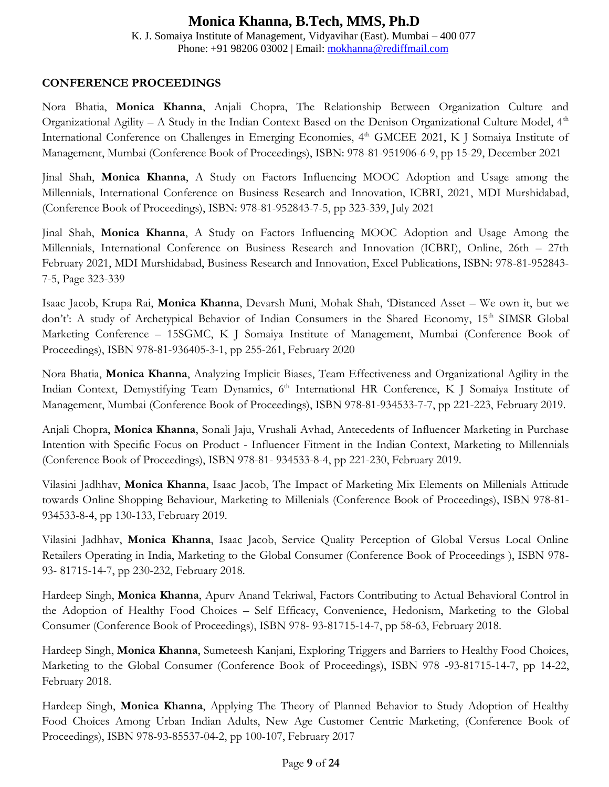K. J. Somaiya Institute of Management, Vidyavihar (East). Mumbai – 400 077 Phone: +91 98206 03002 | Email: [mokhanna@rediffmail.com](mailto:mokhanna@rediffmail.com)

#### **CONFERENCE PROCEEDINGS**

Nora Bhatia, **Monica Khanna**, Anjali Chopra, The Relationship Between Organization Culture and Organizational Agility – A Study in the Indian Context Based on the Denison Organizational Culture Model,  $4<sup>th</sup>$ International Conference on Challenges in Emerging Economies, 4<sup>th</sup> GMCEE 2021, K J Somaiya Institute of Management, Mumbai (Conference Book of Proceedings), ISBN: 978-81-951906-6-9, pp 15-29, December 2021

Jinal Shah, **Monica Khanna**, A Study on Factors Influencing MOOC Adoption and Usage among the Millennials, International Conference on Business Research and Innovation, ICBRI, 2021, MDI Murshidabad, (Conference Book of Proceedings), ISBN: 978-81-952843-7-5, pp 323-339, July 2021

Jinal Shah, **Monica Khanna**, A Study on Factors Influencing MOOC Adoption and Usage Among the Millennials, International Conference on Business Research and Innovation (ICBRI), Online, 26th – 27th February 2021, MDI Murshidabad, Business Research and Innovation, Excel Publications, ISBN: 978-81-952843- 7-5, Page 323-339

Isaac Jacob, Krupa Rai, **Monica Khanna**, Devarsh Muni, Mohak Shah, 'Distanced Asset – We own it, but we don't': A study of Archetypical Behavior of Indian Consumers in the Shared Economy, 15<sup>th</sup> SIMSR Global Marketing Conference – 15SGMC, K J Somaiya Institute of Management, Mumbai (Conference Book of Proceedings), ISBN 978-81-936405-3-1, pp 255-261, February 2020

Nora Bhatia, **Monica Khanna**, Analyzing Implicit Biases, Team Effectiveness and Organizational Agility in the Indian Context, Demystifying Team Dynamics, 6<sup>th</sup> International HR Conference, K J Somaiya Institute of Management, Mumbai (Conference Book of Proceedings), ISBN 978-81-934533-7-7, pp 221-223, February 2019.

Anjali Chopra, **Monica Khanna**, Sonali Jaju, Vrushali Avhad, Antecedents of Influencer Marketing in Purchase Intention with Specific Focus on Product - Influencer Fitment in the Indian Context, Marketing to Millennials (Conference Book of Proceedings), ISBN 978-81- 934533-8-4, pp 221-230, February 2019.

Vilasini Jadhhav, **Monica Khanna**, Isaac Jacob, The Impact of Marketing Mix Elements on Millenials Attitude towards Online Shopping Behaviour, Marketing to Millenials (Conference Book of Proceedings), ISBN 978-81- 934533-8-4, pp 130-133, February 2019.

Vilasini Jadhhav, **Monica Khanna**, Isaac Jacob, Service Quality Perception of Global Versus Local Online Retailers Operating in India, Marketing to the Global Consumer (Conference Book of Proceedings ), ISBN 978- 93- 81715-14-7, pp 230-232, February 2018.

Hardeep Singh, **Monica Khanna**, Apurv Anand Tekriwal, Factors Contributing to Actual Behavioral Control in the Adoption of Healthy Food Choices – Self Efficacy, Convenience, Hedonism, Marketing to the Global Consumer (Conference Book of Proceedings), ISBN 978- 93-81715-14-7, pp 58-63, February 2018.

Hardeep Singh, **Monica Khanna**, Sumeteesh Kanjani, Exploring Triggers and Barriers to Healthy Food Choices, Marketing to the Global Consumer (Conference Book of Proceedings), ISBN 978 -93-81715-14-7, pp 14-22, February 2018.

Hardeep Singh, **Monica Khanna**, Applying The Theory of Planned Behavior to Study Adoption of Healthy Food Choices Among Urban Indian Adults, New Age Customer Centric Marketing, (Conference Book of Proceedings), ISBN 978-93-85537-04-2, pp 100-107, February 2017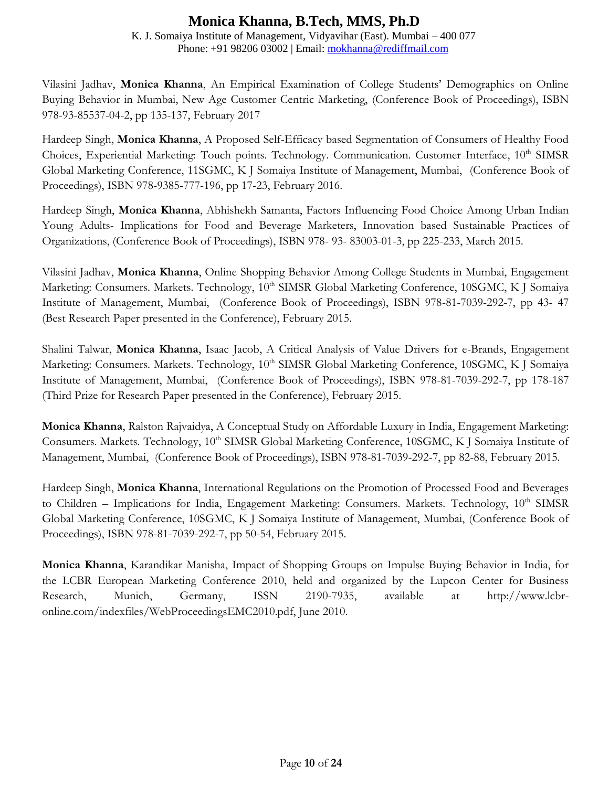K. J. Somaiya Institute of Management, Vidyavihar (East). Mumbai – 400 077 Phone: +91 98206 03002 | Email: [mokhanna@rediffmail.com](mailto:mokhanna@rediffmail.com)

Vilasini Jadhav, **Monica Khanna**, An Empirical Examination of College Students' Demographics on Online Buying Behavior in Mumbai, New Age Customer Centric Marketing, (Conference Book of Proceedings), ISBN 978-93-85537-04-2, pp 135-137, February 2017

Hardeep Singh, **Monica Khanna**, A Proposed Self-Efficacy based Segmentation of Consumers of Healthy Food Choices, Experiential Marketing: Touch points. Technology. Communication. Customer Interface, 10<sup>th</sup> SIMSR Global Marketing Conference, 11SGMC, K J Somaiya Institute of Management, Mumbai, (Conference Book of Proceedings), ISBN 978-9385-777-196, pp 17-23, February 2016.

Hardeep Singh, **Monica Khanna**, Abhishekh Samanta, Factors Influencing Food Choice Among Urban Indian Young Adults- Implications for Food and Beverage Marketers, Innovation based Sustainable Practices of Organizations, (Conference Book of Proceedings), ISBN 978- 93- 83003-01-3, pp 225-233, March 2015.

Vilasini Jadhav, **Monica Khanna**, Online Shopping Behavior Among College Students in Mumbai, Engagement Marketing: Consumers. Markets. Technology, 10<sup>th</sup> SIMSR Global Marketing Conference, 10SGMC, K J Somaiya Institute of Management, Mumbai, (Conference Book of Proceedings), ISBN 978-81-7039-292-7, pp 43- 47 (Best Research Paper presented in the Conference), February 2015.

Shalini Talwar, **Monica Khanna**, Isaac Jacob, A Critical Analysis of Value Drivers for e-Brands, Engagement Marketing: Consumers. Markets. Technology, 10<sup>th</sup> SIMSR Global Marketing Conference, 10SGMC, K J Somaiya Institute of Management, Mumbai, (Conference Book of Proceedings), ISBN 978-81-7039-292-7, pp 178-187 (Third Prize for Research Paper presented in the Conference), February 2015.

**Monica Khanna**, Ralston Rajvaidya, A Conceptual Study on Affordable Luxury in India, Engagement Marketing: Consumers. Markets. Technology, 10<sup>th</sup> SIMSR Global Marketing Conference, 10SGMC, K J Somaiya Institute of Management, Mumbai, (Conference Book of Proceedings), ISBN 978-81-7039-292-7, pp 82-88, February 2015.

Hardeep Singh, **Monica Khanna**, International Regulations on the Promotion of Processed Food and Beverages to Children – Implications for India, Engagement Marketing: Consumers. Markets. Technology, 10<sup>th</sup> SIMSR Global Marketing Conference, 10SGMC, K J Somaiya Institute of Management, Mumbai, (Conference Book of Proceedings), ISBN 978-81-7039-292-7, pp 50-54, February 2015.

**Monica Khanna**[, Karandikar Manisha, Impact of Shopping Groups on Impulse Buying Behavior in India, for](http://www.lcbr-online.com/index_files/WebProceedingsEMC2010.pdf)  [the](http://www.lcbr-online.com/index_files/WebProceedingsEMC2010.pdf) [LCBR European Marketing Conference 2010, held and organized by the Lupcon Center for Business](http://www.lcbr-online.com/index_files/WebProceedingsEMC2010.pdf)  [Research,](http://www.lcbr-online.com/index_files/WebProceedingsEMC2010.pdf) Munich, Germany, ISSN 2190-7935, available at http://www.lcbr[online.com/indexfiles/WebProceedingsEMC2010.pdf,](http://www.lcbr-online.com/index_files/WebProceedingsEMC2010.pdf) June 2010.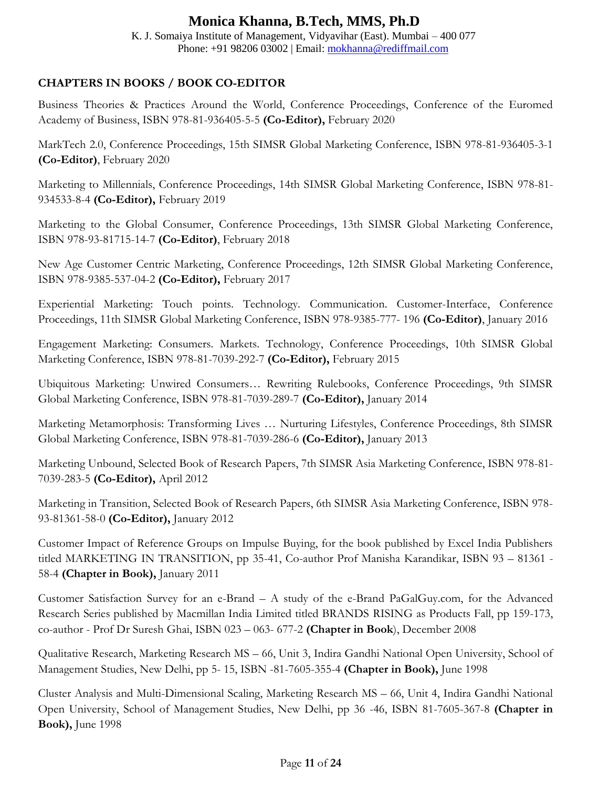K. J. Somaiya Institute of Management, Vidyavihar (East). Mumbai – 400 077 Phone: +91 98206 03002 | Email: [mokhanna@rediffmail.com](mailto:mokhanna@rediffmail.com)

### **CHAPTERS IN BOOKS / BOOK CO-EDITOR**

Business Theories & Practices Around the World, Conference Proceedings, Conference of the Euromed Academy of Business, ISBN 978-81-936405-5-5 **(Co-Editor),** February 2020

MarkTech 2.0, Conference Proceedings, 15th SIMSR Global Marketing Conference, ISBN 978-81-936405-3-1 **(Co-Editor)**, February 2020

Marketing to Millennials, Conference Proceedings, 14th SIMSR Global Marketing Conference, ISBN 978-81- 934533-8-4 **(Co-Editor),** February 2019

Marketing to the Global Consumer, Conference Proceedings, 13th SIMSR Global Marketing Conference, ISBN 978-93-81715-14-7 **(Co-Editor)**, February 2018

New Age Customer Centric Marketing, Conference Proceedings, 12th SIMSR Global Marketing Conference, ISBN 978-9385-537-04-2 **(Co-Editor),** February 2017

Experiential Marketing: Touch points. Technology. Communication. Customer-Interface, Conference Proceedings, 11th SIMSR Global Marketing Conference, ISBN 978-9385-777- 196 **(Co-Editor)**, January 2016

Engagement Marketing: Consumers. Markets. Technology, Conference Proceedings, 10th SIMSR Global Marketing Conference, ISBN 978-81-7039-292-7 **(Co-Editor),** February 2015

Ubiquitous Marketing: Unwired Consumers… Rewriting Rulebooks, Conference Proceedings, 9th SIMSR Global Marketing Conference, ISBN 978-81-7039-289-7 **(Co-Editor),** January 2014

Marketing Metamorphosis: Transforming Lives … Nurturing Lifestyles, Conference Proceedings, 8th SIMSR Global Marketing Conference, ISBN 978-81-7039-286-6 **(Co-Editor),** January 2013

Marketing Unbound, Selected Book of Research Papers, 7th SIMSR Asia Marketing Conference, ISBN 978-81- 7039-283-5 **(Co-Editor),** April 2012

Marketing in Transition, Selected Book of Research Papers, 6th SIMSR Asia Marketing Conference, ISBN 978- 93-81361-58-0 **(Co-Editor),** January 2012

Customer Impact of Reference Groups on Impulse Buying, for the book published by Excel India Publishers titled MARKETING IN TRANSITION, pp 35-41, Co-author Prof Manisha Karandikar, ISBN 93 – 81361 - 58-4 **(Chapter in Book),** January 2011

Customer Satisfaction Survey for an e-Brand – A study of the e-Brand PaGalGuy.com, for the Advanced Research Series published by Macmillan India Limited titled BRANDS RISING as Products Fall, pp 159-173, co-author - Prof Dr Suresh Ghai, ISBN 023 – 063- 677-2 **(Chapter in Book**), December 2008

Qualitative Research, Marketing Research MS – 66, Unit 3, Indira Gandhi National Open University, School of Management Studies, New Delhi, pp 5- 15, ISBN -81-7605-355-4 **(Chapter in Book),** June 1998

Cluster Analysis and Multi-Dimensional Scaling, Marketing Research MS – 66, Unit 4, Indira Gandhi National Open University, School of Management Studies, New Delhi, pp 36 -46, ISBN 81-7605-367-8 **(Chapter in Book),** June 1998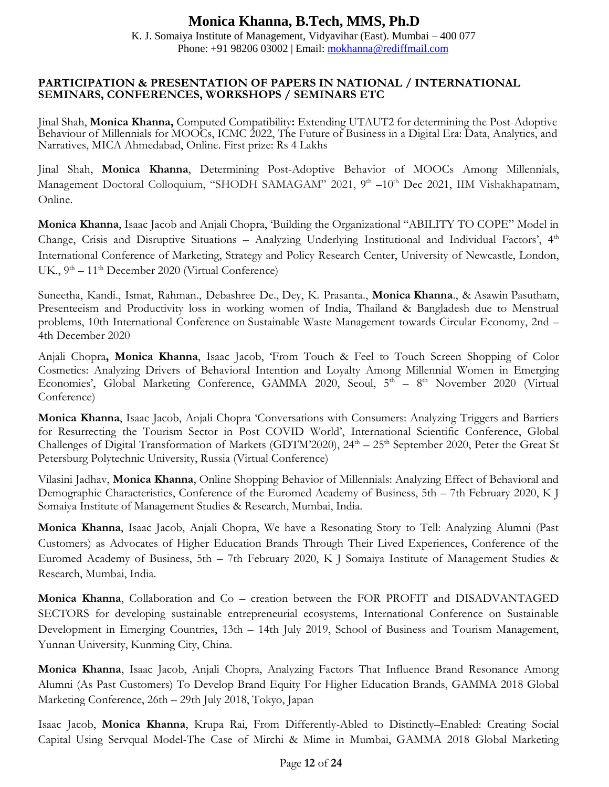K. J. Somaiya Institute of Management, Vidyavihar (East). Mumbai – 400 077 Phone: +91 98206 03002 | Email: [mokhanna@rediffmail.com](mailto:mokhanna@rediffmail.com)

#### **PARTICIPATION & PRESENTATION OF PAPERS IN NATIONAL / INTERNATIONAL SEMINARS, CONFERENCES, WORKSHOPS / SEMINARS ETC**

Jinal Shah, **Monica Khanna,** Computed Compatibility**:** Extending UTAUT2 for determining the Post-Adoptive Behaviour of Millennials for MOOCs, ICMC 2022, The Future of Business in a Digital Era: Data, Analytics, and Narratives, MICA Ahmedabad, Online. First prize: Rs 4 Lakhs

Jinal Shah, **Monica Khanna**, Determining Post-Adoptive Behavior of MOOCs Among Millennials, Management Doctoral Colloquium, "SHODH SAMAGAM" 2021, 9<sup>th</sup> -10<sup>th</sup> Dec 2021, IIM Vishakhapatnam, Online.

**Monica Khanna**, Isaac Jacob and Anjali Chopra, 'Building the Organizational "ABILITY TO COPE" Model in Change, Crisis and Disruptive Situations - Analyzing Underlying Institutional and Individual Factors', 4<sup>th</sup> International Conference of Marketing, Strategy and Policy Research Center, University of Newcastle, London, UK., 9<sup>th</sup> – 11<sup>th</sup> December 2020 (Virtual Conference)

Suneetha, Kandi., Ismat, Rahman., Debashree De., Dey, K. Prasanta., **Monica Khanna**., & Asawin Pasutham, Presenteeism and Productivity loss in working women of India, Thailand & Bangladesh due to Menstrual problems, 10th International Conference on Sustainable Waste Management towards Circular Economy, 2nd – 4th December 2020

Anjali Chopra**, Monica Khanna**, Isaac Jacob, 'From Touch & Feel to Touch Screen Shopping of Color Cosmetics: Analyzing Drivers of Behavioral Intention and Loyalty Among Millennial Women in Emerging Economies', Global Marketing Conference, GAMMA 2020, Seoul, 5<sup>th</sup> – 8<sup>th</sup> November 2020 (Virtual Conference)

**Monica Khanna**, Isaac Jacob, Anjali Chopra 'Conversations with Consumers: Analyzing Triggers and Barriers for Resurrecting the Tourism Sector in Post COVID World', International Scientific Conference, Global Challenges of Digital Transformation of Markets (GDTM'2020), 24<sup>th</sup> - 25<sup>th</sup> September 2020, Peter the Great St Petersburg Polytechnic University, Russia (Virtual Conference)

Vilasini Jadhav, **Monica Khanna**, Online Shopping Behavior of Millennials: Analyzing Effect of Behavioral and Demographic Characteristics, Conference of the Euromed Academy of Business, 5th – 7th February 2020, K J Somaiya Institute of Management Studies & Research, Mumbai, India.

**Monica Khanna**, Isaac Jacob, Anjali Chopra, We have a Resonating Story to Tell: Analyzing Alumni (Past Customers) as Advocates of Higher Education Brands Through Their Lived Experiences, Conference of the Euromed Academy of Business, 5th – 7th February 2020, K J Somaiya Institute of Management Studies & Research, Mumbai, India.

**Monica Khanna**, Collaboration and Co – creation between the FOR PROFIT and DISADVANTAGED SECTORS for developing sustainable entrepreneurial ecosystems, International Conference on Sustainable Development in Emerging Countries, 13th – 14th July 2019, School of Business and Tourism Management, Yunnan University, Kunming City, China.

**Monica Khanna**, Isaac Jacob, Anjali Chopra, Analyzing Factors That Influence Brand Resonance Among Alumni (As Past Customers) To Develop Brand Equity For Higher Education Brands, GAMMA 2018 Global Marketing Conference, 26th – 29th July 2018, Tokyo, Japan

Isaac Jacob, **Monica Khanna**, Krupa Rai, From Differently-Abled to Distinctly–Enabled: Creating Social Capital Using Servqual Model-The Case of Mirchi & Mime in Mumbai, GAMMA 2018 Global Marketing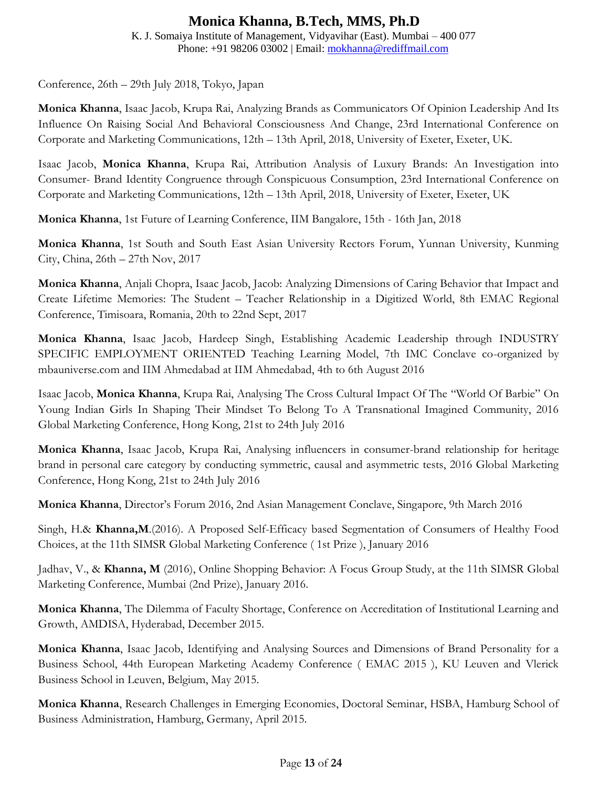K. J. Somaiya Institute of Management, Vidyavihar (East). Mumbai – 400 077 Phone: +91 98206 03002 | Email: [mokhanna@rediffmail.com](mailto:mokhanna@rediffmail.com)

Conference, 26th – 29th July 2018, Tokyo, Japan

**Monica Khanna**, Isaac Jacob, Krupa Rai, Analyzing Brands as Communicators Of Opinion Leadership And Its Influence On Raising Social And Behavioral Consciousness And Change, 23rd International Conference on Corporate and Marketing Communications, 12th – 13th April, 2018, University of Exeter, Exeter, UK.

Isaac Jacob, **Monica Khanna**, Krupa Rai, Attribution Analysis of Luxury Brands: An Investigation into Consumer- Brand Identity Congruence through Conspicuous Consumption, 23rd International Conference on Corporate and Marketing Communications, 12th – 13th April, 2018, University of Exeter, Exeter, UK

**Monica Khanna**, 1st Future of Learning Conference, IIM Bangalore, 15th - 16th Jan, 2018

**Monica Khanna**, 1st South and South East Asian University Rectors Forum, Yunnan University, Kunming City, China, 26th – 27th Nov, 2017

**Monica Khanna**, Anjali Chopra, Isaac Jacob, Jacob: Analyzing Dimensions of Caring Behavior that Impact and Create Lifetime Memories: The Student – Teacher Relationship in a Digitized World, 8th EMAC Regional Conference, Timisoara, Romania, 20th to 22nd Sept, 2017

**Monica Khanna**, Isaac Jacob, Hardeep Singh, Establishing Academic Leadership through INDUSTRY SPECIFIC EMPLOYMENT ORIENTED Teaching Learning Model, 7th IMC Conclave co-organized by mbauniverse.com and IIM Ahmedabad at IIM Ahmedabad, 4th to 6th August 2016

Isaac Jacob, **Monica Khanna**, Krupa Rai, Analysing The Cross Cultural Impact Of The "World Of Barbie" On Young Indian Girls In Shaping Their Mindset To Belong To A Transnational Imagined Community, 2016 Global Marketing Conference, Hong Kong, 21st to 24th July 2016

**Monica Khanna**, Isaac Jacob, Krupa Rai, Analysing influencers in consumer-brand relationship for heritage brand in personal care category by conducting symmetric, causal and asymmetric tests, 2016 Global Marketing Conference, Hong Kong, 21st to 24th July 2016

**Monica Khanna**, Director's Forum 2016, 2nd Asian Management Conclave, Singapore, 9th March 2016

Singh, H.& **Khanna,M**.(2016). A Proposed Self-Efficacy based Segmentation of Consumers of Healthy Food Choices, at the 11th SIMSR Global Marketing Conference ( 1st Prize ), January 2016

Jadhav, V., & **Khanna, M** (2016), Online Shopping Behavior: A Focus Group Study, at the 11th SIMSR Global Marketing Conference, Mumbai (2nd Prize), January 2016.

**Monica Khanna**, The Dilemma of Faculty Shortage, Conference on Accreditation of Institutional Learning and Growth, AMDISA, Hyderabad, December 2015.

**Monica Khanna**, Isaac Jacob, Identifying and Analysing Sources and Dimensions of Brand Personality for a Business School, 44th European Marketing Academy Conference ( EMAC 2015 ), KU Leuven and Vlerick Business School in Leuven, Belgium, May 2015.

**Monica Khanna**, Research Challenges in Emerging Economies, Doctoral Seminar, HSBA, Hamburg School of Business Administration, Hamburg, Germany, April 2015.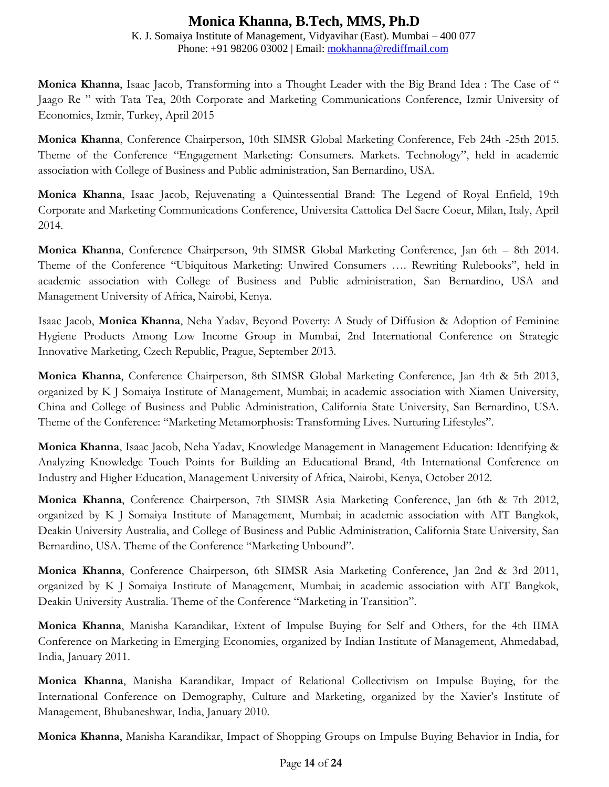K. J. Somaiya Institute of Management, Vidyavihar (East). Mumbai – 400 077 Phone: +91 98206 03002 | Email: [mokhanna@rediffmail.com](mailto:mokhanna@rediffmail.com)

**Monica Khanna**, Isaac Jacob, Transforming into a Thought Leader with the Big Brand Idea : The Case of " Jaago Re " with Tata Tea, 20th Corporate and Marketing Communications Conference, Izmir University of Economics, Izmir, Turkey, April 2015

**Monica Khanna**, Conference Chairperson, 10th SIMSR Global Marketing Conference, Feb 24th -25th 2015. Theme of the Conference "Engagement Marketing: Consumers. Markets. Technology", held in academic association with College of Business and Public administration, San Bernardino, USA.

**Monica Khanna**, Isaac Jacob, Rejuvenating a Quintessential Brand: The Legend of Royal Enfield, 19th Corporate and Marketing Communications Conference, Universita Cattolica Del Sacre Coeur, Milan, Italy, April 2014.

**Monica Khanna**, Conference Chairperson, 9th SIMSR Global Marketing Conference, Jan 6th – 8th 2014. Theme of the Conference "Ubiquitous Marketing: Unwired Consumers …. Rewriting Rulebooks", held in academic association with College of Business and Public administration, San Bernardino, USA and Management University of Africa, Nairobi, Kenya.

Isaac Jacob, **Monica Khanna**, Neha Yadav, Beyond Poverty: A Study of Diffusion & Adoption of Feminine Hygiene Products Among Low Income Group in Mumbai, 2nd International Conference on Strategic Innovative Marketing, Czech Republic, Prague, September 2013.

**Monica Khanna**, Conference Chairperson, 8th SIMSR Global Marketing Conference, Jan 4th & 5th 2013, organized by K J Somaiya Institute of Management, Mumbai; in academic association with Xiamen University, China and College of Business and Public Administration, California State University, San Bernardino, USA. Theme of the Conference: "Marketing Metamorphosis: Transforming Lives. Nurturing Lifestyles".

**Monica Khanna**, Isaac Jacob, Neha Yadav, Knowledge Management in Management Education: Identifying & Analyzing Knowledge Touch Points for Building an Educational Brand, 4th International Conference on Industry and Higher Education, Management University of Africa, Nairobi, Kenya, October 2012.

**Monica Khanna**, Conference Chairperson, 7th SIMSR Asia Marketing Conference, Jan 6th & 7th 2012, organized by K J Somaiya Institute of Management, Mumbai; in academic association with AIT Bangkok, Deakin University Australia, and College of Business and Public Administration, California State University, San Bernardino, USA. Theme of the Conference "Marketing Unbound".

**Monica Khanna**, Conference Chairperson, 6th SIMSR Asia Marketing Conference, Jan 2nd & 3rd 2011, organized by K J Somaiya Institute of Management, Mumbai; in academic association with AIT Bangkok, Deakin University Australia. Theme of the Conference "Marketing in Transition".

**Monica Khanna**, Manisha Karandikar, Extent of Impulse Buying for Self and Others, for the 4th IIMA Conference on Marketing in Emerging Economies, organized by Indian Institute of Management, Ahmedabad, India, January 2011.

**Monica Khanna**, Manisha Karandikar, Impact of Relational Collectivism on Impulse Buying, for the International Conference on Demography, Culture and Marketing, organized by the Xavier's Institute of Management, Bhubaneshwar, India, January 2010.

**Monica Khanna**, Manisha Karandikar, Impact of Shopping Groups on Impulse Buying Behavior in India, for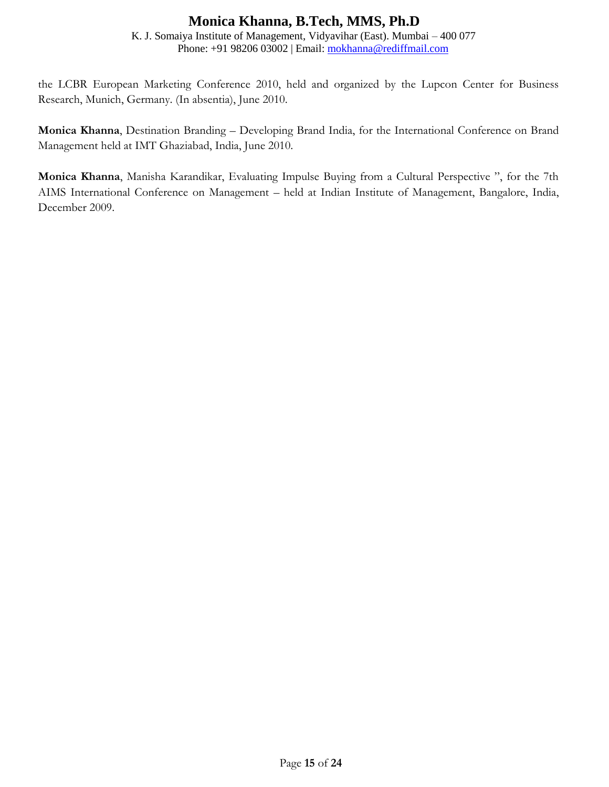K. J. Somaiya Institute of Management, Vidyavihar (East). Mumbai – 400 077 Phone: +91 98206 03002 | Email: [mokhanna@rediffmail.com](mailto:mokhanna@rediffmail.com)

the LCBR European Marketing Conference 2010, held and organized by the Lupcon Center for Business Research, Munich, Germany. (In absentia), June 2010.

**Monica Khanna**, Destination Branding – Developing Brand India, for the International Conference on Brand Management held at IMT Ghaziabad, India, June 2010.

**Monica Khanna**, Manisha Karandikar, Evaluating Impulse Buying from a Cultural Perspective ", for the 7th AIMS International Conference on Management – held at Indian Institute of Management, Bangalore, India, December 2009.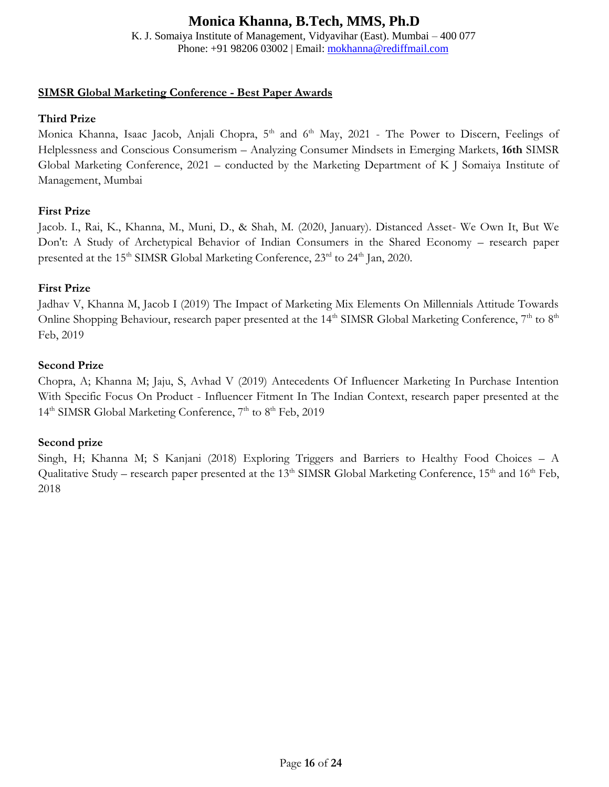K. J. Somaiya Institute of Management, Vidyavihar (East). Mumbai – 400 077 Phone: +91 98206 03002 | Email: [mokhanna@rediffmail.com](mailto:mokhanna@rediffmail.com)

### **SIMSR Global Marketing Conference - Best Paper Awards**

### **Third Prize**

Monica Khanna, Isaac Jacob, Anjali Chopra, 5<sup>th</sup> and 6<sup>th</sup> May, 2021 - The Power to Discern, Feelings of Helplessness and Conscious Consumerism – Analyzing Consumer Mindsets in Emerging Markets, **16th** SIMSR Global Marketing Conference, 2021 – conducted by the Marketing Department of K J Somaiya Institute of Management, Mumbai

### **First Prize**

Jacob. I., Rai, K., Khanna, M., Muni, D., & Shah, M. (2020, January). Distanced Asset- We Own It, But We Don't: A Study of Archetypical Behavior of Indian Consumers in the Shared Economy – research paper presented at the 15<sup>th</sup> SIMSR Global Marketing Conference, 23<sup>rd</sup> to 24<sup>th</sup> Jan, 2020.

### **First Prize**

Jadhav V, Khanna M, Jacob I (2019) The Impact of Marketing Mix Elements On Millennials Attitude Towards Online Shopping Behaviour, research paper presented at the  $14<sup>th</sup>$  SIMSR Global Marketing Conference,  $7<sup>th</sup>$  to  $8<sup>th</sup>$ Feb, 2019

### **Second Prize**

Chopra, A; Khanna M; Jaju, S, Avhad V (2019) Antecedents Of Influencer Marketing In Purchase Intention With Specific Focus On Product - Influencer Fitment In The Indian Context, research paper presented at the 14<sup>th</sup> SIMSR Global Marketing Conference, 7<sup>th</sup> to 8<sup>th</sup> Feb, 2019

### **Second prize**

Singh, H; Khanna M; S Kanjani (2018) Exploring Triggers and Barriers to Healthy Food Choices – A Qualitative Study – research paper presented at the 13<sup>th</sup> SIMSR Global Marketing Conference,  $15<sup>th</sup>$  and  $16<sup>th</sup>$  Feb, 2018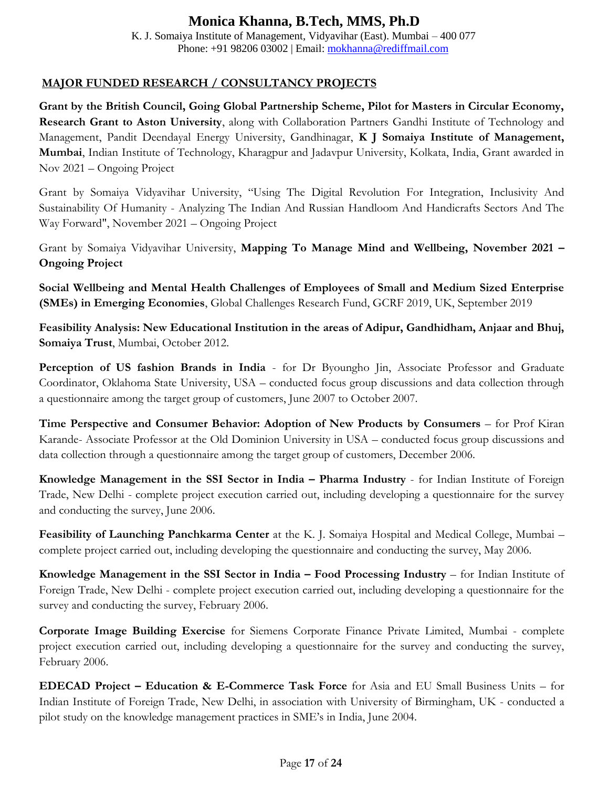K. J. Somaiya Institute of Management, Vidyavihar (East). Mumbai – 400 077 Phone: +91 98206 03002 | Email: [mokhanna@rediffmail.com](mailto:mokhanna@rediffmail.com)

### **MAJOR FUNDED RESEARCH / CONSULTANCY PROJECTS**

**Grant by the British Council, Going Global Partnership Scheme, Pilot for Masters in Circular Economy, Research Grant to Aston University**, along with Collaboration Partners Gandhi Institute of Technology and Management, Pandit Deendayal Energy University, Gandhinagar, **K J Somaiya Institute of Management, Mumbai**, Indian Institute of Technology, Kharagpur and Jadavpur University, Kolkata, India, Grant awarded in Nov 2021 – Ongoing Project

Grant by Somaiya Vidyavihar University, "Using The Digital Revolution For Integration, Inclusivity And Sustainability Of Humanity - Analyzing The Indian And Russian Handloom And Handicrafts Sectors And The Way Forward", November 2021 – Ongoing Project

Grant by Somaiya Vidyavihar University, **Mapping To Manage Mind and Wellbeing, November 2021 – Ongoing Project**

**Social Wellbeing and Mental Health Challenges of Employees of Small and Medium Sized Enterprise (SMEs) in Emerging Economies**, Global Challenges Research Fund, GCRF 2019, UK, September 2019

**Feasibility Analysis: New Educational Institution in the areas of Adipur, Gandhidham, Anjaar and Bhuj, Somaiya Trust**, Mumbai, October 2012.

**Perception of US fashion Brands in India** - for Dr Byoungho Jin, Associate Professor and Graduate Coordinator, Oklahoma State University, USA – conducted focus group discussions and data collection through a questionnaire among the target group of customers, June 2007 to October 2007.

**Time Perspective and Consumer Behavior: Adoption of New Products by Consumers** – for Prof Kiran Karande- Associate Professor at the Old Dominion University in USA – conducted focus group discussions and data collection through a questionnaire among the target group of customers, December 2006.

**Knowledge Management in the SSI Sector in India – Pharma Industry** - for Indian Institute of Foreign Trade, New Delhi - complete project execution carried out, including developing a questionnaire for the survey and conducting the survey, June 2006.

**Feasibility of Launching Panchkarma Center** at the K. J. Somaiya Hospital and Medical College, Mumbai – complete project carried out, including developing the questionnaire and conducting the survey, May 2006.

**Knowledge Management in the SSI Sector in India – Food Processing Industry** – for Indian Institute of Foreign Trade, New Delhi - complete project execution carried out, including developing a questionnaire for the survey and conducting the survey, February 2006.

**Corporate Image Building Exercise** for Siemens Corporate Finance Private Limited, Mumbai - complete project execution carried out, including developing a questionnaire for the survey and conducting the survey, February 2006.

**EDECAD Project – Education & E-Commerce Task Force** for Asia and EU Small Business Units – for Indian Institute of Foreign Trade, New Delhi, in association with University of Birmingham, UK - conducted a pilot study on the knowledge management practices in SME's in India, June 2004.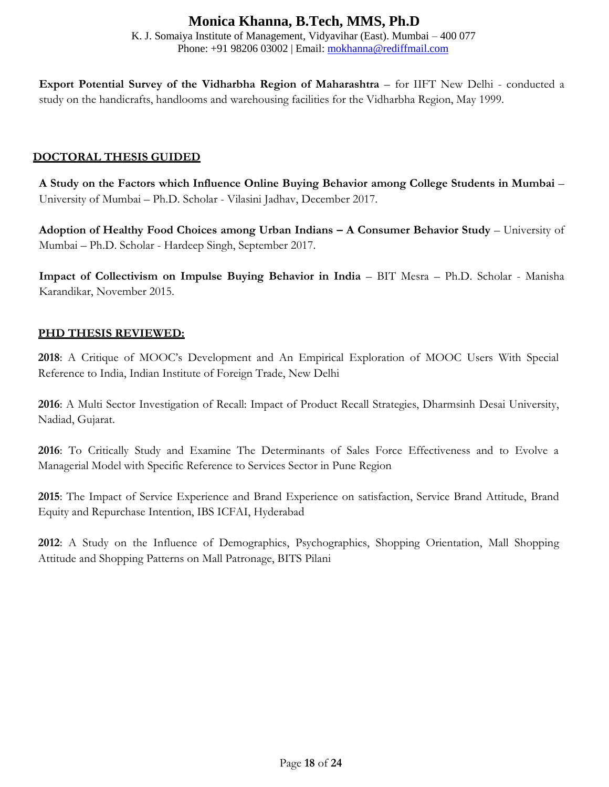K. J. Somaiya Institute of Management, Vidyavihar (East). Mumbai – 400 077 Phone: +91 98206 03002 | Email: [mokhanna@rediffmail.com](mailto:mokhanna@rediffmail.com)

**Export Potential Survey of the Vidharbha Region of Maharashtra** – for IIFT New Delhi - conducted a study on the handicrafts, handlooms and warehousing facilities for the Vidharbha Region, May 1999.

#### **DOCTORAL THESIS GUIDED**

**A Study on the Factors which Influence Online Buying Behavior among College Students in Mumbai** – University of Mumbai – Ph.D. Scholar - Vilasini Jadhav, December 2017.

**Adoption of Healthy Food Choices among Urban Indians – A Consumer Behavior Study** – University of Mumbai – Ph.D. Scholar - Hardeep Singh, September 2017.

**Impact of Collectivism on Impulse Buying Behavior in India** – BIT Mesra – Ph.D. Scholar - Manisha Karandikar, November 2015.

### **PHD THESIS REVIEWED:**

**2018**: A Critique of MOOC's Development and An Empirical Exploration of MOOC Users With Special Reference to India, Indian Institute of Foreign Trade, New Delhi

**2016**: A Multi Sector Investigation of Recall: Impact of Product Recall Strategies, Dharmsinh Desai University, Nadiad, Gujarat.

**2016**: To Critically Study and Examine The Determinants of Sales Force Effectiveness and to Evolve a Managerial Model with Specific Reference to Services Sector in Pune Region

**2015**: The Impact of Service Experience and Brand Experience on satisfaction, Service Brand Attitude, Brand Equity and Repurchase Intention, IBS ICFAI, Hyderabad

**2012**: A Study on the Influence of Demographics, Psychographics, Shopping Orientation, Mall Shopping Attitude and Shopping Patterns on Mall Patronage, BITS Pilani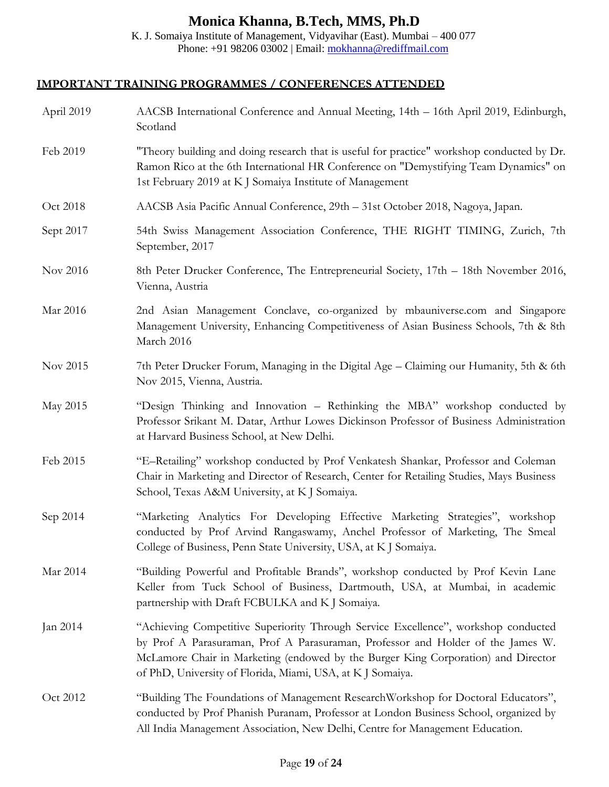K. J. Somaiya Institute of Management, Vidyavihar (East). Mumbai – 400 077 Phone: +91 98206 03002 | Email: [mokhanna@rediffmail.com](mailto:mokhanna@rediffmail.com)

### **IMPORTANT TRAINING PROGRAMMES / CONFERENCES ATTENDED**

| April 2019 | AACSB International Conference and Annual Meeting, 14th – 16th April 2019, Edinburgh,<br>Scotland                                                                                                                                                                                                                       |  |  |
|------------|-------------------------------------------------------------------------------------------------------------------------------------------------------------------------------------------------------------------------------------------------------------------------------------------------------------------------|--|--|
| Feb 2019   | "Theory building and doing research that is useful for practice" workshop conducted by Dr.<br>Ramon Rico at the 6th International HR Conference on "Demystifying Team Dynamics" on<br>1st February 2019 at K J Somaiya Institute of Management                                                                          |  |  |
| Oct 2018   | AACSB Asia Pacific Annual Conference, 29th – 31st October 2018, Nagoya, Japan.                                                                                                                                                                                                                                          |  |  |
| Sept 2017  | 54th Swiss Management Association Conference, THE RIGHT TIMING, Zurich, 7th<br>September, 2017                                                                                                                                                                                                                          |  |  |
| Nov 2016   | 8th Peter Drucker Conference, The Entrepreneurial Society, 17th - 18th November 2016,<br>Vienna, Austria                                                                                                                                                                                                                |  |  |
| Mar 2016   | 2nd Asian Management Conclave, co-organized by mbauniverse.com and Singapore<br>Management University, Enhancing Competitiveness of Asian Business Schools, 7th & 8th<br>March 2016                                                                                                                                     |  |  |
| Nov 2015   | 7th Peter Drucker Forum, Managing in the Digital Age - Claiming our Humanity, 5th & 6th<br>Nov 2015, Vienna, Austria.                                                                                                                                                                                                   |  |  |
| May 2015   | "Design Thinking and Innovation - Rethinking the MBA" workshop conducted by<br>Professor Srikant M. Datar, Arthur Lowes Dickinson Professor of Business Administration<br>at Harvard Business School, at New Delhi.                                                                                                     |  |  |
| Feb 2015   | "E-Retailing" workshop conducted by Prof Venkatesh Shankar, Professor and Coleman<br>Chair in Marketing and Director of Research, Center for Retailing Studies, Mays Business<br>School, Texas A&M University, at K J Somaiya.                                                                                          |  |  |
| Sep 2014   | "Marketing Analytics For Developing Effective Marketing Strategies", workshop<br>conducted by Prof Arvind Rangaswamy, Anchel Professor of Marketing, The Smeal<br>College of Business, Penn State University, USA, at K J Somaiya.                                                                                      |  |  |
| Mar 2014   | "Building Powerful and Profitable Brands", workshop conducted by Prof Kevin Lane<br>Keller from Tuck School of Business, Dartmouth, USA, at Mumbai, in academic<br>partnership with Draft FCBULKA and K J Somaiya.                                                                                                      |  |  |
| Jan 2014   | "Achieving Competitive Superiority Through Service Excellence", workshop conducted<br>by Prof A Parasuraman, Prof A Parasuraman, Professor and Holder of the James W.<br>McLamore Chair in Marketing (endowed by the Burger King Corporation) and Director<br>of PhD, University of Florida, Miami, USA, at KJ Somaiya. |  |  |
| Oct 2012   | "Building The Foundations of Management ResearchWorkshop for Doctoral Educators",<br>conducted by Prof Phanish Puranam, Professor at London Business School, organized by<br>All India Management Association, New Delhi, Centre for Management Education.                                                              |  |  |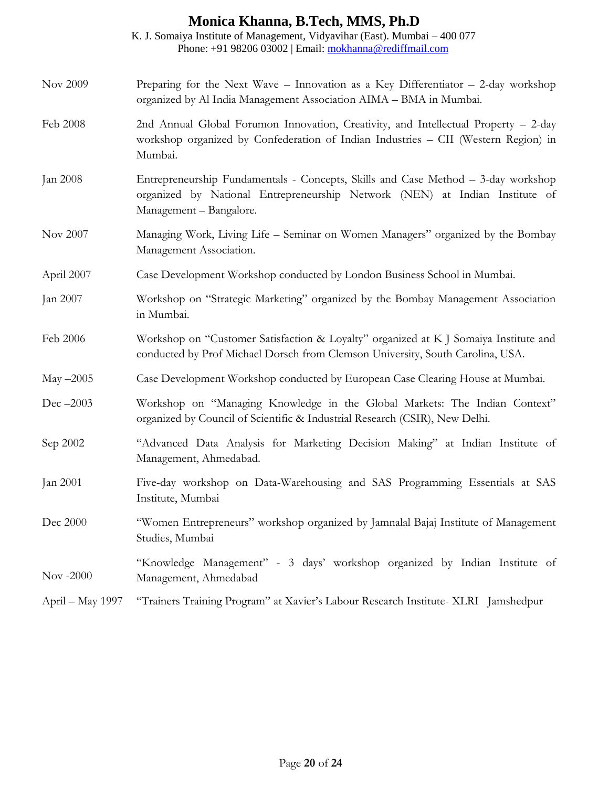|                  | K. J. Somaiya Institute of Management, Vidyavihar (East). Mumbai - 400 077<br>Phone: +91 98206 03002   Email: mokhanna@rediffmail.com                                                       |  |
|------------------|---------------------------------------------------------------------------------------------------------------------------------------------------------------------------------------------|--|
| Nov 2009         | Preparing for the Next Wave – Innovation as a Key Differentiator – 2-day workshop<br>organized by Al India Management Association AIMA - BMA in Mumbai.                                     |  |
| Feb 2008         | 2nd Annual Global Forumon Innovation, Creativity, and Intellectual Property - 2-day<br>workshop organized by Confederation of Indian Industries - CII (Western Region) in<br>Mumbai.        |  |
| Jan 2008         | Entrepreneurship Fundamentals - Concepts, Skills and Case Method – 3-day workshop<br>organized by National Entrepreneurship Network (NEN) at Indian Institute of<br>Management - Bangalore. |  |
| Nov 2007         | Managing Work, Living Life – Seminar on Women Managers" organized by the Bombay<br>Management Association.                                                                                  |  |
| April 2007       | Case Development Workshop conducted by London Business School in Mumbai.                                                                                                                    |  |
| Jan 2007         | Workshop on "Strategic Marketing" organized by the Bombay Management Association<br>in Mumbai.                                                                                              |  |
| Feb 2006         | Workshop on "Customer Satisfaction & Loyalty" organized at K J Somaiya Institute and<br>conducted by Prof Michael Dorsch from Clemson University, South Carolina, USA.                      |  |
| May $-2005$      | Case Development Workshop conducted by European Case Clearing House at Mumbai.                                                                                                              |  |
| Dec $-2003$      | Workshop on "Managing Knowledge in the Global Markets: The Indian Context"<br>organized by Council of Scientific & Industrial Research (CSIR), New Delhi.                                   |  |
| Sep 2002         | "Advanced Data Analysis for Marketing Decision Making" at Indian Institute of<br>Management, Ahmedabad.                                                                                     |  |
| Jan 2001         | Five-day workshop on Data-Warehousing and SAS Programming Essentials at SAS<br>Institute, Mumbai                                                                                            |  |
| Dec 2000         | "Women Entrepreneurs" workshop organized by Jamnalal Bajaj Institute of Management<br>Studies, Mumbai                                                                                       |  |
| Nov $-2000$      | "Knowledge Management" - 3 days' workshop organized by Indian Institute of<br>Management, Ahmedabad                                                                                         |  |
| April – May 1997 | "Trainers Training Program" at Xavier's Labour Research Institute- XLRI Jamshedpur                                                                                                          |  |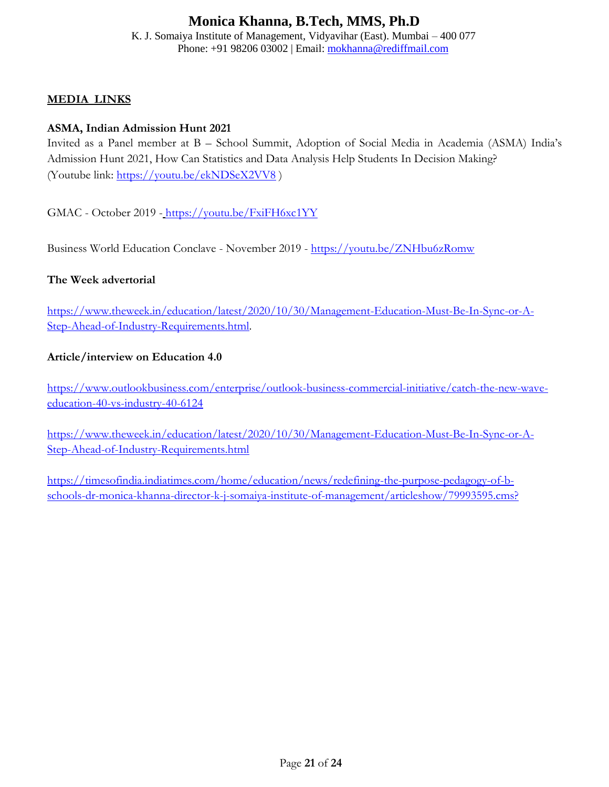K. J. Somaiya Institute of Management, Vidyavihar (East). Mumbai – 400 077 Phone: +91 98206 03002 | Email: [mokhanna@rediffmail.com](mailto:mokhanna@rediffmail.com)

#### **MEDIA LINKS**

#### **ASMA, Indian Admission Hunt 2021**

Invited as a Panel member at B – School Summit, Adoption of Social Media in Academia (ASMA) India's Admission Hunt 2021, How Can Statistics and Data Analysis Help Students In Decision Making? (Youtube link:<https://youtu.be/ekNDSeX2VV8> )

GMAC - October 2019 - <https://youtu.be/FxiFH6xc1YY>

Business World Education Conclave - November 2019 - [https://youtu.be/ZNHbu6zRomw](https://mailtrack.io/trace/link/d6f759d91db73421d38e1f36022b9a63d8fa248c?url=https%3A%2F%2Fyoutu.be%2FZNHbu6zRomw&userId=4213112&signature=45571a3507c7b78d)

#### **The Week advertorial**

[https://www.theweek.in/education/latest/2020/10/30/Management-Education-Must-Be-In-Sync-or-A-](https://www.theweek.in/education/latest/2020/10/30/Management-Education-Must-Be-In-Sync-or-A-Step-Ahead-of-Industry-Requirements.html)[Step-Ahead-of-Industry-Requirements.html.](https://www.theweek.in/education/latest/2020/10/30/Management-Education-Must-Be-In-Sync-or-A-Step-Ahead-of-Industry-Requirements.html)

#### **Article/interview on Education 4.0**

[https://www.outlookbusiness.com/enterprise/outlook-business-commercial-initiative/catch-the-new-wave](https://www.outlookbusiness.com/enterprise/outlook-business-commercial-initiative/catch-the-new-wave-education-40-vs-industry-40-6124)[education-40-vs-industry-40-6124](https://www.outlookbusiness.com/enterprise/outlook-business-commercial-initiative/catch-the-new-wave-education-40-vs-industry-40-6124)

[https://www.theweek.in/education/latest/2020/10/30/Management-Education-Must-Be-In-Sync-or-A-](https://www.theweek.in/education/latest/2020/10/30/Management-Education-Must-Be-In-Sync-or-A-Step-Ahead-of-Industry-Requirements.html)[Step-Ahead-of-Industry-Requirements.html](https://www.theweek.in/education/latest/2020/10/30/Management-Education-Must-Be-In-Sync-or-A-Step-Ahead-of-Industry-Requirements.html)

[https://timesofindia.indiatimes.com/home/education/news/redefining-the-purpose-pedagogy-of-b](https://timesofindia.indiatimes.com/home/education/news/redefining-the-purpose-pedagogy-of-b-schools-dr-monica-khanna-director-k-j-somaiya-institute-of-management/articleshow/79993595.cms?)[schools-dr-monica-khanna-director-k-j-somaiya-institute-of-management/articleshow/79993595.cms?](https://timesofindia.indiatimes.com/home/education/news/redefining-the-purpose-pedagogy-of-b-schools-dr-monica-khanna-director-k-j-somaiya-institute-of-management/articleshow/79993595.cms?)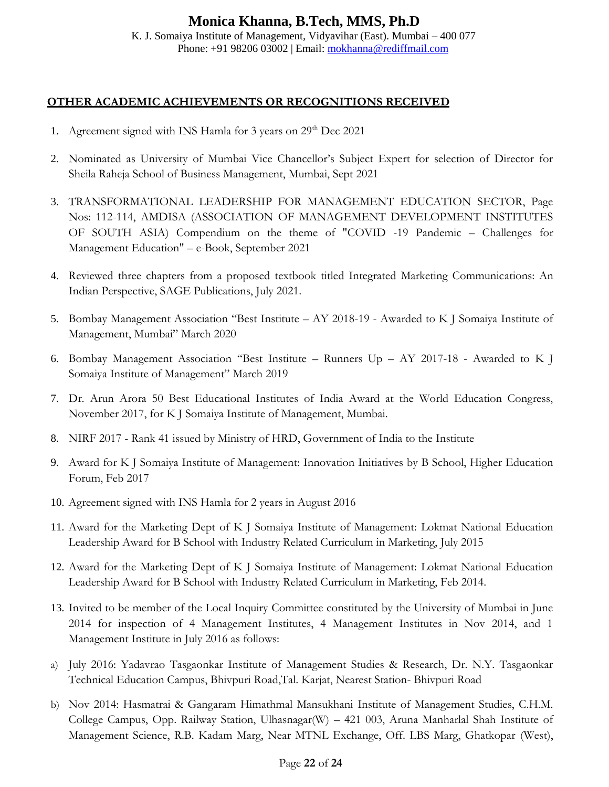#### **Monica Khanna, B.Tech, MMS, Ph.D** K. J. Somaiya Institute of Management, Vidyavihar (East). Mumbai – 400 077 Phone: +91 98206 03002 | Email: [mokhanna@rediffmail.com](mailto:mokhanna@rediffmail.com)

#### **OTHER ACADEMIC ACHIEVEMENTS OR RECOGNITIONS RECEIVED**

- 1. Agreement signed with INS Hamla for 3 years on  $29<sup>th</sup>$  Dec  $2021$
- 2. Nominated as University of Mumbai Vice Chancellor's Subject Expert for selection of Director for Sheila Raheja School of Business Management, Mumbai, Sept 2021
- 3. TRANSFORMATIONAL LEADERSHIP FOR MANAGEMENT EDUCATION SECTOR, Page Nos: 112-114, AMDISA (ASSOCIATION OF MANAGEMENT DEVELOPMENT INSTITUTES OF SOUTH ASIA) Compendium on the theme of "COVID -19 Pandemic – Challenges for Management Education" – e-Book, September 2021
- 4. Reviewed three chapters from a proposed textbook titled Integrated Marketing Communications: An Indian Perspective, SAGE Publications, July 2021.
- 5. Bombay Management Association "Best Institute AY 2018-19 Awarded to K J Somaiya Institute of Management, Mumbai" March 2020
- 6. Bombay Management Association "Best Institute Runners Up AY 2017-18 Awarded to K J Somaiya Institute of Management" March 2019
- 7. Dr. Arun Arora 50 Best Educational Institutes of India Award at the World Education Congress, November 2017, for K J Somaiya Institute of Management, Mumbai.
- 8. NIRF 2017 Rank 41 issued by Ministry of HRD, Government of India to the Institute
- 9. Award for K J Somaiya Institute of Management: Innovation Initiatives by B School, Higher Education Forum, Feb 2017
- 10. Agreement signed with INS Hamla for 2 years in August 2016
- 11. Award for the Marketing Dept of K J Somaiya Institute of Management: Lokmat National Education Leadership Award for B School with Industry Related Curriculum in Marketing, July 2015
- 12. Award for the Marketing Dept of K J Somaiya Institute of Management: Lokmat National Education Leadership Award for B School with Industry Related Curriculum in Marketing, Feb 2014.
- 13. Invited to be member of the Local Inquiry Committee constituted by the University of Mumbai in June 2014 for inspection of 4 Management Institutes, 4 Management Institutes in Nov 2014, and 1 Management Institute in July 2016 as follows:
- a) July 2016: Yadavrao Tasgaonkar Institute of Management Studies & Research, Dr. N.Y. Tasgaonkar Technical Education Campus, Bhivpuri Road,Tal. Karjat, Nearest Station- Bhivpuri Road
- b) Nov 2014: Hasmatrai & Gangaram Himathmal Mansukhani Institute of Management Studies, C.H.M. College Campus, Opp. Railway Station, Ulhasnagar(W) – 421 003, Aruna Manharlal Shah Institute of Management Science, R.B. Kadam Marg, Near MTNL Exchange, Off. LBS Marg, Ghatkopar (West),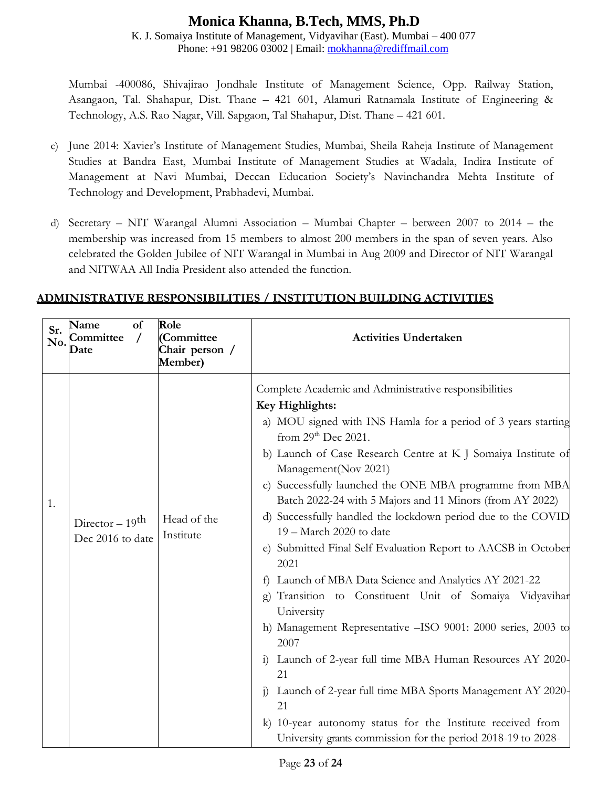K. J. Somaiya Institute of Management, Vidyavihar (East). Mumbai – 400 077 Phone: +91 98206 03002 | Email: [mokhanna@rediffmail.com](mailto:mokhanna@rediffmail.com)

Mumbai -400086, Shivajirao Jondhale Institute of Management Science, Opp. Railway Station, Asangaon, Tal. Shahapur, Dist. Thane – 421 601, Alamuri Ratnamala Institute of Engineering & Technology, A.S. Rao Nagar, Vill. Sapgaon, Tal Shahapur, Dist. Thane – 421 601.

- c) June 2014: Xavier's Institute of Management Studies, Mumbai, Sheila Raheja Institute of Management Studies at Bandra East, Mumbai Institute of Management Studies at Wadala, Indira Institute of Management at Navi Mumbai, Deccan Education Society's Navinchandra Mehta Institute of Technology and Development, Prabhadevi, Mumbai.
- d) Secretary NIT Warangal Alumni Association Mumbai Chapter between 2007 to 2014 the membership was increased from 15 members to almost 200 members in the span of seven years. Also celebrated the Golden Jubilee of NIT Warangal in Mumbai in Aug 2009 and Director of NIT Warangal and NITWAA All India President also attended the function.

| Sr. | of<br>Name<br>No. Committee<br>Date              | Role<br>(Committee<br>Chair person /<br>Member) | <b>Activities Undertaken</b>                                                                                                                                                                                                                                                                                                                                                                                                                                                                                                                                                                                                                                                                                                                                                                                                                                                                                                                                                                                                                                                                 |
|-----|--------------------------------------------------|-------------------------------------------------|----------------------------------------------------------------------------------------------------------------------------------------------------------------------------------------------------------------------------------------------------------------------------------------------------------------------------------------------------------------------------------------------------------------------------------------------------------------------------------------------------------------------------------------------------------------------------------------------------------------------------------------------------------------------------------------------------------------------------------------------------------------------------------------------------------------------------------------------------------------------------------------------------------------------------------------------------------------------------------------------------------------------------------------------------------------------------------------------|
| 1.  | Director $-19$ <sup>th</sup><br>Dec 2016 to date | Head of the<br>Institute                        | Complete Academic and Administrative responsibilities<br>Key Highlights:<br>a) MOU signed with INS Hamla for a period of 3 years starting<br>from 29 <sup>th</sup> Dec 2021.<br>b) Launch of Case Research Centre at K J Somaiya Institute of<br>Management(Nov 2021)<br>c) Successfully launched the ONE MBA programme from MBA<br>Batch 2022-24 with 5 Majors and 11 Minors (from AY 2022)<br>d) Successfully handled the lockdown period due to the COVID<br>19 - March 2020 to date<br>e) Submitted Final Self Evaluation Report to AACSB in October<br>2021<br>Launch of MBA Data Science and Analytics AY 2021-22<br>f)<br>Transition to Constituent Unit of Somaiya Vidyavihar<br>University<br>h) Management Representative -ISO 9001: 2000 series, 2003 to<br>2007<br>Launch of 2-year full time MBA Human Resources AY 2020-<br>$\left( \frac{1}{2} \right)$<br>21<br>Launch of 2-year full time MBA Sports Management AY 2020-<br>$\overline{1}$<br>21<br>10-year autonomy status for the Institute received from<br>University grants commission for the period 2018-19 to 2028- |

### **ADMINISTRATIVE RESPONSIBILITIES / INSTITUTION BUILDING ACTIVITIES**